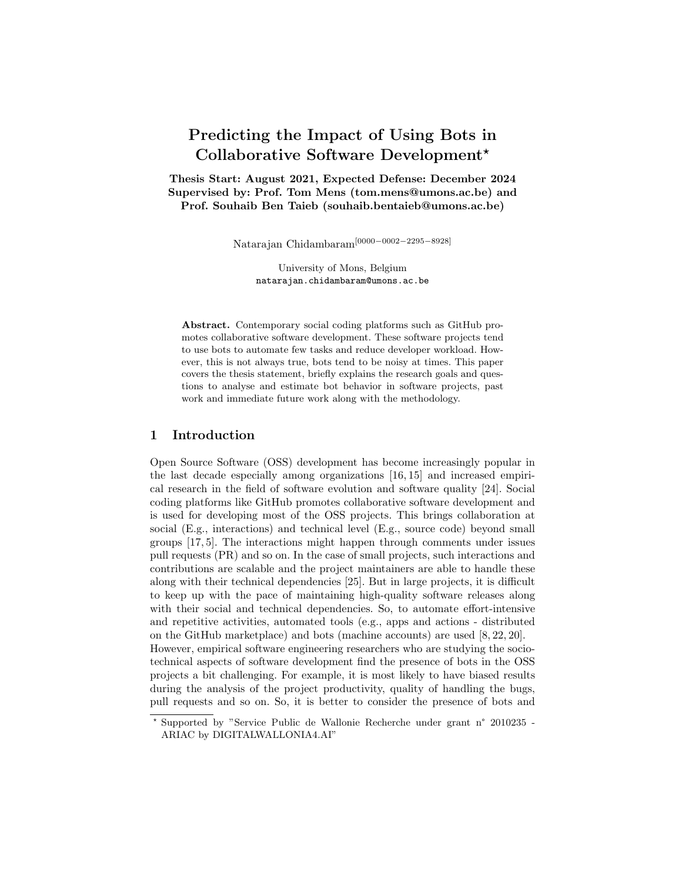# Predicting the Impact of Using Bots in Collaborative Software Development<sup>\*</sup>

Thesis Start: August 2021, Expected Defense: December 2024 Supervised by: Prof. Tom Mens (tom.mens@umons.ac.be) and Prof. Souhaib Ben Taieb (souhaib.bentaieb@umons.ac.be)

Natarajan Chidambaram[0000−0002−2295−8928]

University of Mons, Belgium natarajan.chidambaram@umons.ac.be

Abstract. Contemporary social coding platforms such as GitHub promotes collaborative software development. These software projects tend to use bots to automate few tasks and reduce developer workload. However, this is not always true, bots tend to be noisy at times. This paper covers the thesis statement, briefly explains the research goals and questions to analyse and estimate bot behavior in software projects, past work and immediate future work along with the methodology.

## 1 Introduction

Open Source Software (OSS) development has become increasingly popular in the last decade especially among organizations [16, 15] and increased empirical research in the field of software evolution and software quality [24]. Social coding platforms like GitHub promotes collaborative software development and is used for developing most of the OSS projects. This brings collaboration at social (E.g., interactions) and technical level (E.g., source code) beyond small groups [17, 5]. The interactions might happen through comments under issues pull requests (PR) and so on. In the case of small projects, such interactions and contributions are scalable and the project maintainers are able to handle these along with their technical dependencies [25]. But in large projects, it is difficult to keep up with the pace of maintaining high-quality software releases along with their social and technical dependencies. So, to automate effort-intensive and repetitive activities, automated tools (e.g., apps and actions - distributed on the GitHub marketplace) and bots (machine accounts) are used [8, 22, 20]. However, empirical software engineering researchers who are studying the sociotechnical aspects of software development find the presence of bots in the OSS projects a bit challenging. For example, it is most likely to have biased results

during the analysis of the project productivity, quality of handling the bugs, pull requests and so on. So, it is better to consider the presence of bots and

<sup>⋆</sup> Supported by "Service Public de Wallonie Recherche under grant n° 2010235 - ARIAC by DIGITALWALLONIA4.AI"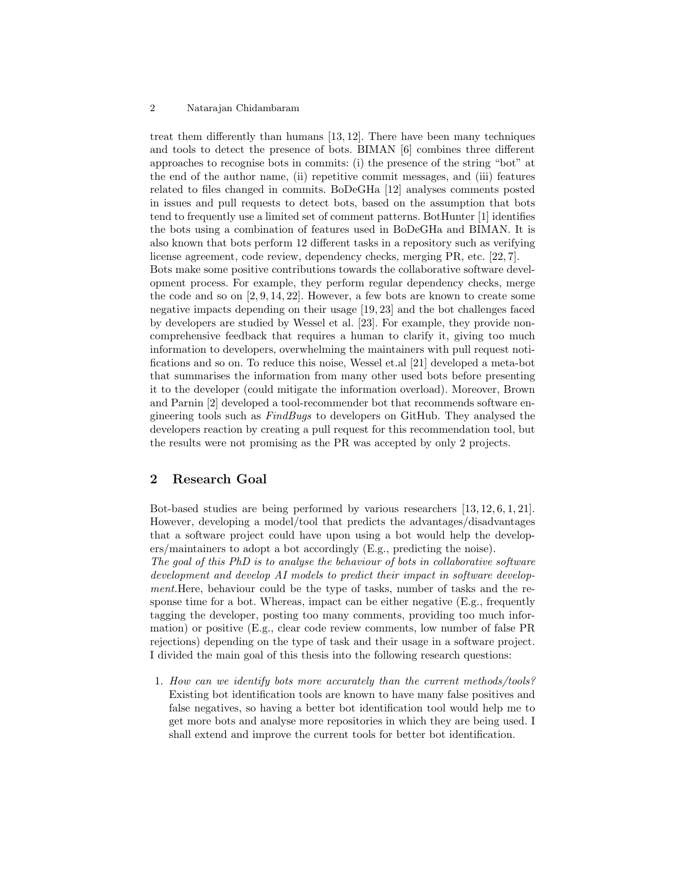#### 2 Natarajan Chidambaram

treat them differently than humans [13, 12]. There have been many techniques and tools to detect the presence of bots. BIMAN [6] combines three different approaches to recognise bots in commits: (i) the presence of the string "bot" at the end of the author name, (ii) repetitive commit messages, and (iii) features related to files changed in commits. BoDeGHa [12] analyses comments posted in issues and pull requests to detect bots, based on the assumption that bots tend to frequently use a limited set of comment patterns. BotHunter [1] identifies the bots using a combination of features used in BoDeGHa and BIMAN. It is also known that bots perform 12 different tasks in a repository such as verifying license agreement, code review, dependency checks, merging PR, etc. [22, 7]. Bots make some positive contributions towards the collaborative software development process. For example, they perform regular dependency checks, merge the code and so on [2, 9, 14, 22]. However, a few bots are known to create some negative impacts depending on their usage [19, 23] and the bot challenges faced by developers are studied by Wessel et al. [23]. For example, they provide noncomprehensive feedback that requires a human to clarify it, giving too much information to developers, overwhelming the maintainers with pull request notifications and so on. To reduce this noise, Wessel et.al [21] developed a meta-bot that summarises the information from many other used bots before presenting it to the developer (could mitigate the information overload). Moreover, Brown and Parnin [2] developed a tool-recommender bot that recommends software engineering tools such as FindBugs to developers on GitHub. They analysed the developers reaction by creating a pull request for this recommendation tool, but the results were not promising as the PR was accepted by only 2 projects.

## 2 Research Goal

Bot-based studies are being performed by various researchers [13, 12, 6, 1, 21]. However, developing a model/tool that predicts the advantages/disadvantages that a software project could have upon using a bot would help the developers/maintainers to adopt a bot accordingly (E.g., predicting the noise).

The goal of this PhD is to analyse the behaviour of bots in collaborative software development and develop AI models to predict their impact in software development.Here, behaviour could be the type of tasks, number of tasks and the response time for a bot. Whereas, impact can be either negative (E.g., frequently tagging the developer, posting too many comments, providing too much information) or positive (E.g., clear code review comments, low number of false PR rejections) depending on the type of task and their usage in a software project. I divided the main goal of this thesis into the following research questions:

1. How can we identify bots more accurately than the current methods/tools? Existing bot identification tools are known to have many false positives and false negatives, so having a better bot identification tool would help me to get more bots and analyse more repositories in which they are being used. I shall extend and improve the current tools for better bot identification.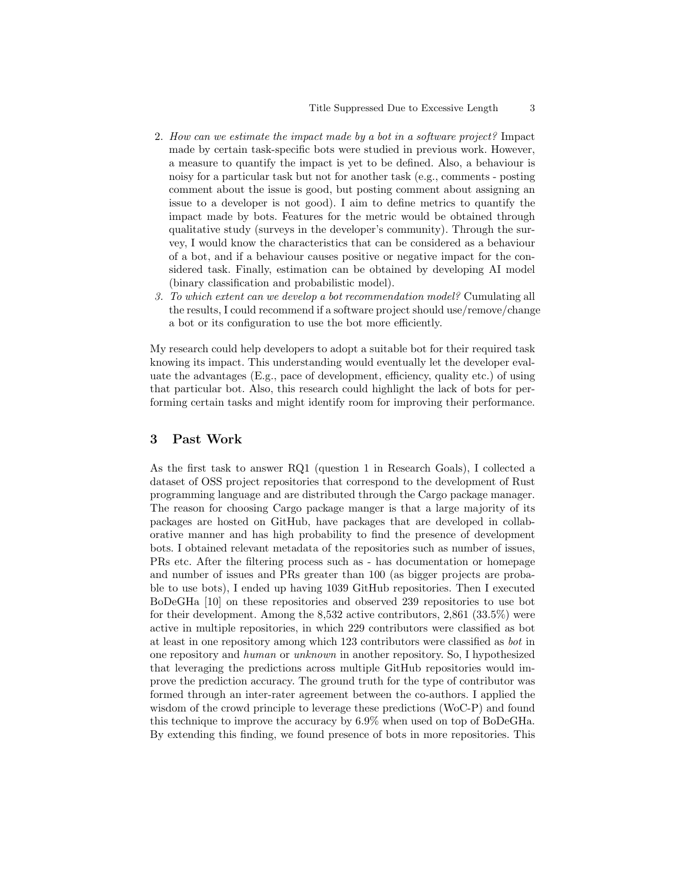- 2. How can we estimate the impact made by a bot in a software project? Impact made by certain task-specific bots were studied in previous work. However, a measure to quantify the impact is yet to be defined. Also, a behaviour is noisy for a particular task but not for another task (e.g., comments - posting comment about the issue is good, but posting comment about assigning an issue to a developer is not good). I aim to define metrics to quantify the impact made by bots. Features for the metric would be obtained through qualitative study (surveys in the developer's community). Through the survey, I would know the characteristics that can be considered as a behaviour of a bot, and if a behaviour causes positive or negative impact for the considered task. Finally, estimation can be obtained by developing AI model (binary classification and probabilistic model).
- 3. To which extent can we develop a bot recommendation model? Cumulating all the results, I could recommend if a software project should use/remove/change a bot or its configuration to use the bot more efficiently.

My research could help developers to adopt a suitable bot for their required task knowing its impact. This understanding would eventually let the developer evaluate the advantages (E.g., pace of development, efficiency, quality etc.) of using that particular bot. Also, this research could highlight the lack of bots for performing certain tasks and might identify room for improving their performance.

#### 3 Past Work

As the first task to answer RQ1 (question 1 in Research Goals), I collected a dataset of OSS project repositories that correspond to the development of Rust programming language and are distributed through the Cargo package manager. The reason for choosing Cargo package manger is that a large majority of its packages are hosted on GitHub, have packages that are developed in collaborative manner and has high probability to find the presence of development bots. I obtained relevant metadata of the repositories such as number of issues, PRs etc. After the filtering process such as - has documentation or homepage and number of issues and PRs greater than 100 (as bigger projects are probable to use bots), I ended up having 1039 GitHub repositories. Then I executed BoDeGHa [10] on these repositories and observed 239 repositories to use bot for their development. Among the 8,532 active contributors, 2,861 (33.5%) were active in multiple repositories, in which 229 contributors were classified as bot at least in one repository among which 123 contributors were classified as bot in one repository and human or unknown in another repository. So, I hypothesized that leveraging the predictions across multiple GitHub repositories would improve the prediction accuracy. The ground truth for the type of contributor was formed through an inter-rater agreement between the co-authors. I applied the wisdom of the crowd principle to leverage these predictions (WoC-P) and found this technique to improve the accuracy by 6.9% when used on top of BoDeGHa. By extending this finding, we found presence of bots in more repositories. This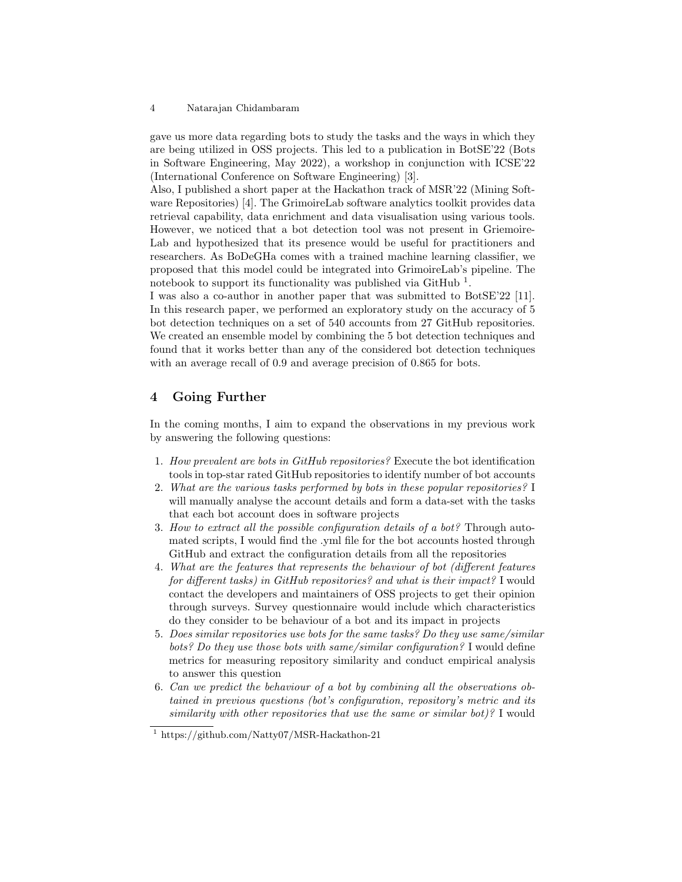#### 4 Natarajan Chidambaram

gave us more data regarding bots to study the tasks and the ways in which they are being utilized in OSS projects. This led to a publication in BotSE'22 (Bots in Software Engineering, May 2022), a workshop in conjunction with ICSE'22 (International Conference on Software Engineering) [3].

Also, I published a short paper at the Hackathon track of MSR'22 (Mining Software Repositories) [4]. The GrimoireLab software analytics toolkit provides data retrieval capability, data enrichment and data visualisation using various tools. However, we noticed that a bot detection tool was not present in Griemoire-Lab and hypothesized that its presence would be useful for practitioners and researchers. As BoDeGHa comes with a trained machine learning classifier, we proposed that this model could be integrated into GrimoireLab's pipeline. The notebook to support its functionality was published via  $\text{GitHub}$ <sup>1</sup>.

I was also a co-author in another paper that was submitted to BotSE'22 [11]. In this research paper, we performed an exploratory study on the accuracy of 5 bot detection techniques on a set of 540 accounts from 27 GitHub repositories. We created an ensemble model by combining the 5 bot detection techniques and found that it works better than any of the considered bot detection techniques with an average recall of 0.9 and average precision of 0.865 for bots.

# 4 Going Further

In the coming months, I aim to expand the observations in my previous work by answering the following questions:

- 1. How prevalent are bots in  $GitHub$  repositories? Execute the bot identification tools in top-star rated GitHub repositories to identify number of bot accounts
- 2. What are the various tasks performed by bots in these popular repositories? I will manually analyse the account details and form a data-set with the tasks that each bot account does in software projects
- 3. How to extract all the possible configuration details of a bot? Through automated scripts, I would find the .yml file for the bot accounts hosted through GitHub and extract the configuration details from all the repositories
- 4. What are the features that represents the behaviour of bot (different features for different tasks) in GitHub repositories? and what is their impact? I would contact the developers and maintainers of OSS projects to get their opinion through surveys. Survey questionnaire would include which characteristics do they consider to be behaviour of a bot and its impact in projects
- 5. Does similar repositories use bots for the same tasks? Do they use same/similar bots? Do they use those bots with same/similar configuration? I would define metrics for measuring repository similarity and conduct empirical analysis to answer this question
- 6. Can we predict the behaviour of a bot by combining all the observations obtained in previous questions (bot's configuration, repository's metric and its similarity with other repositories that use the same or similar bot)? I would

<sup>1</sup> https://github.com/Natty07/MSR-Hackathon-21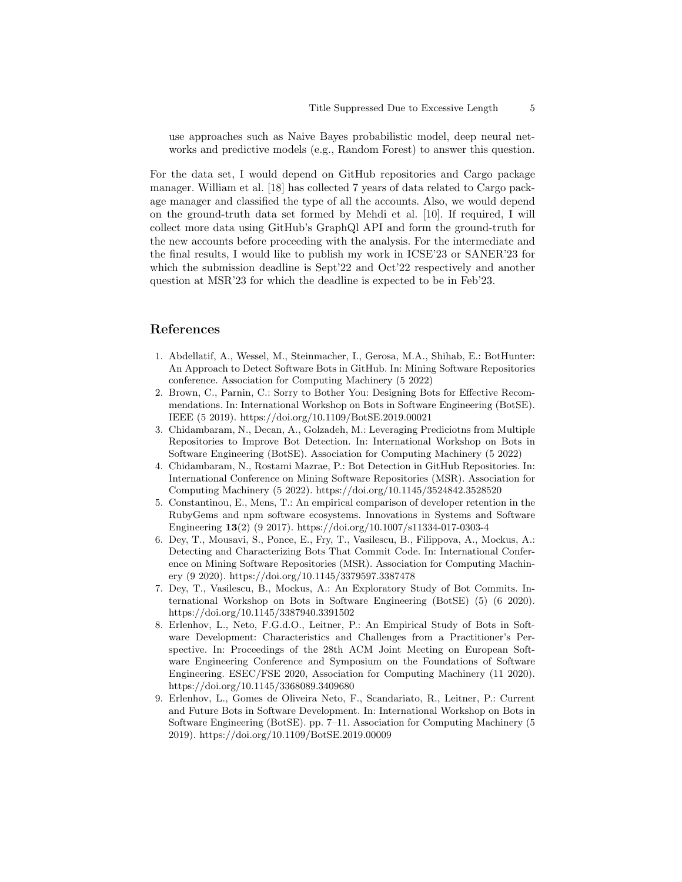use approaches such as Naive Bayes probabilistic model, deep neural networks and predictive models (e.g., Random Forest) to answer this question.

For the data set, I would depend on GitHub repositories and Cargo package manager. William et al. [18] has collected 7 years of data related to Cargo package manager and classified the type of all the accounts. Also, we would depend on the ground-truth data set formed by Mehdi et al. [10]. If required, I will collect more data using GitHub's GraphQl API and form the ground-truth for the new accounts before proceeding with the analysis. For the intermediate and the final results, I would like to publish my work in ICSE'23 or SANER'23 for which the submission deadline is Sept<sup>'22</sup> and Oct<sup>'22</sup> respectively and another question at MSR'23 for which the deadline is expected to be in Feb'23.

### References

- 1. Abdellatif, A., Wessel, M., Steinmacher, I., Gerosa, M.A., Shihab, E.: BotHunter: An Approach to Detect Software Bots in GitHub. In: Mining Software Repositories conference. Association for Computing Machinery (5 2022)
- 2. Brown, C., Parnin, C.: Sorry to Bother You: Designing Bots for Effective Recommendations. In: International Workshop on Bots in Software Engineering (BotSE). IEEE (5 2019). https://doi.org/10.1109/BotSE.2019.00021
- 3. Chidambaram, N., Decan, A., Golzadeh, M.: Leveraging Prediciotns from Multiple Repositories to Improve Bot Detection. In: International Workshop on Bots in Software Engineering (BotSE). Association for Computing Machinery (5 2022)
- 4. Chidambaram, N., Rostami Mazrae, P.: Bot Detection in GitHub Repositories. In: International Conference on Mining Software Repositories (MSR). Association for Computing Machinery (5 2022). https://doi.org/10.1145/3524842.3528520
- 5. Constantinou, E., Mens, T.: An empirical comparison of developer retention in the RubyGems and npm software ecosystems. Innovations in Systems and Software Engineering 13(2) (9 2017). https://doi.org/10.1007/s11334-017-0303-4
- 6. Dey, T., Mousavi, S., Ponce, E., Fry, T., Vasilescu, B., Filippova, A., Mockus, A.: Detecting and Characterizing Bots That Commit Code. In: International Conference on Mining Software Repositories (MSR). Association for Computing Machinery (9 2020). https://doi.org/10.1145/3379597.3387478
- 7. Dey, T., Vasilescu, B., Mockus, A.: An Exploratory Study of Bot Commits. International Workshop on Bots in Software Engineering (BotSE) (5) (6 2020). https://doi.org/10.1145/3387940.3391502
- 8. Erlenhov, L., Neto, F.G.d.O., Leitner, P.: An Empirical Study of Bots in Software Development: Characteristics and Challenges from a Practitioner's Perspective. In: Proceedings of the 28th ACM Joint Meeting on European Software Engineering Conference and Symposium on the Foundations of Software Engineering. ESEC/FSE 2020, Association for Computing Machinery (11 2020). https://doi.org/10.1145/3368089.3409680
- 9. Erlenhov, L., Gomes de Oliveira Neto, F., Scandariato, R., Leitner, P.: Current and Future Bots in Software Development. In: International Workshop on Bots in Software Engineering (BotSE). pp. 7–11. Association for Computing Machinery (5 2019). https://doi.org/10.1109/BotSE.2019.00009